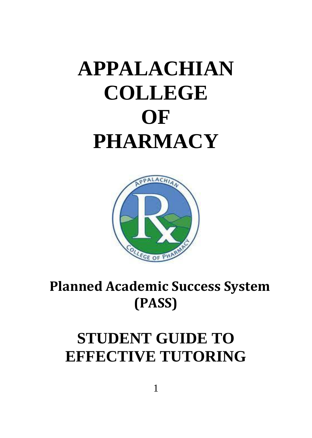# **APPALACHIAN COLLEGE OF PHARMACY**



# **Planned Academic Success System (PASS)**

# **STUDENT GUIDE TO EFFECTIVE TUTORING**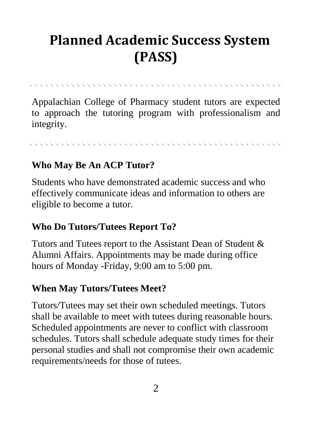# **Planned Academic Success System (PASS)**

Appalachian College of Pharmacy student tutors are expected to approach the tutoring program with professionalism and integrity.

#### **Who May Be An ACP Tutor?**

Students who have demonstrated academic success and who effectively communicate ideas and information to others are eligible to become a tutor.

#### **Who Do Tutors/Tutees Report To?**

Tutors and Tutees report to the Assistant Dean of Student & Alumni Affairs. Appointments may be made during office hours of Monday -Friday, 9:00 am to 5:00 pm.

#### **When May Tutors/Tutees Meet?**

Tutors/Tutees may set their own scheduled meetings. Tutors shall be available to meet with tutees during reasonable hours. Scheduled appointments are never to conflict with classroom schedules. Tutors shall schedule adequate study times for their personal studies and shall not compromise their own academic requirements/needs for those of tutees.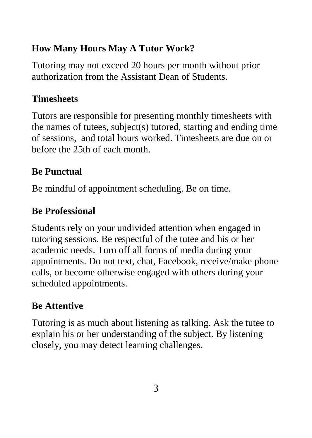#### **How Many Hours May A Tutor Work?**

Tutoring may not exceed 20 hours per month without prior authorization from the Assistant Dean of Students.

#### **Timesheets**

Tutors are responsible for presenting monthly timesheets with the names of tutees, subject(s) tutored, starting and ending time of sessions, and total hours worked. Timesheets are due on or before the 25th of each month.

### **Be Punctual**

Be mindful of appointment scheduling. Be on time.

### **Be Professional**

Students rely on your undivided attention when engaged in tutoring sessions. Be respectful of the tutee and his or her academic needs. Turn off all forms of media during your appointments. Do not text, chat, Facebook, receive/make phone calls, or become otherwise engaged with others during your scheduled appointments.

# **Be Attentive**

Tutoring is as much about listening as talking. Ask the tutee to explain his or her understanding of the subject. By listening closely, you may detect learning challenges.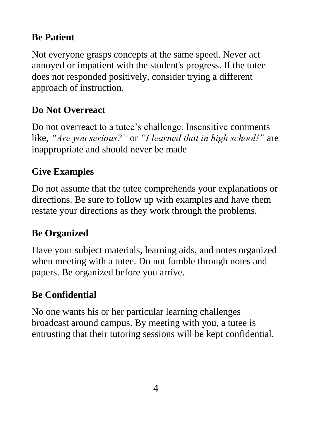#### **Be Patient**

Not everyone grasps concepts at the same speed. Never act annoyed or impatient with the student's progress. If the tutee does not responded positively, consider trying a different approach of instruction.

### **Do Not Overreact**

Do not overreact to a tutee's challenge. Insensitive comments like, *"Are you serious?"* or *"I learned that in high school!"* are inappropriate and should never be made

### **Give Examples**

Do not assume that the tutee comprehends your explanations or directions. Be sure to follow up with examples and have them restate your directions as they work through the problems.

# **Be Organized**

Have your subject materials, learning aids, and notes organized when meeting with a tutee. Do not fumble through notes and papers. Be organized before you arrive.

### **Be Confidential**

No one wants his or her particular learning challenges broadcast around campus. By meeting with you, a tutee is entrusting that their tutoring sessions will be kept confidential.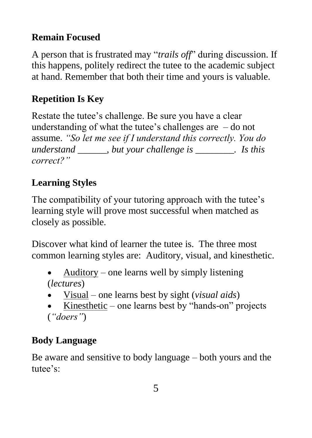#### **Remain Focused**

A person that is frustrated may "*trails off*" during discussion. If this happens, politely redirect the tutee to the academic subject at hand. Remember that both their time and yours is valuable.

# **Repetition Is Key**

Restate the tutee's challenge. Be sure you have a clear understanding of what the tutee's challenges are  $-$  do not assume. *"So let me see if I understand this correctly. You do understand \_\_\_\_\_\_, but your challenge is \_\_\_\_\_\_\_\_. Is this correct?"*

# **Learning Styles**

The compatibility of your tutoring approach with the tutee's learning style will prove most successful when matched as closely as possible.

Discover what kind of learner the tutee is. The three most common learning styles are: Auditory, visual, and kinesthetic.

- $\bullet$  Auditory one learns well by simply listening (*lectures*)
- Visual one learns best by sight (*visual aids*)
- Kinesthetic one learns best by "hands-on" projects (*"doers"*)

# **Body Language**

Be aware and sensitive to body language – both yours and the tutee's: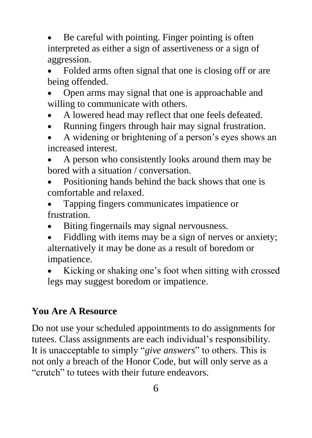Be careful with pointing. Finger pointing is often interpreted as either a sign of assertiveness or a sign of aggression.

 Folded arms often signal that one is closing off or are being offended.

• Open arms may signal that one is approachable and willing to communicate with others.

- A lowered head may reflect that one feels defeated.
- Running fingers through hair may signal frustration.

 A widening or brightening of a person's eyes shows an increased interest.

 A person who consistently looks around them may be bored with a situation / conversation.

 Positioning hands behind the back shows that one is comfortable and relaxed.

 Tapping fingers communicates impatience or frustration.

- Biting fingernails may signal nervousness.
- Fiddling with items may be a sign of nerves or anxiety; alternatively it may be done as a result of boredom or impatience.

 Kicking or shaking one's foot when sitting with crossed legs may suggest boredom or impatience.

#### **You Are A Resource**

Do not use your scheduled appointments to do assignments for tutees. Class assignments are each individual's responsibility. It is unacceptable to simply "*give answers*" to others. This is not only a breach of the Honor Code, but will only serve as a "crutch" to tutees with their future endeavors.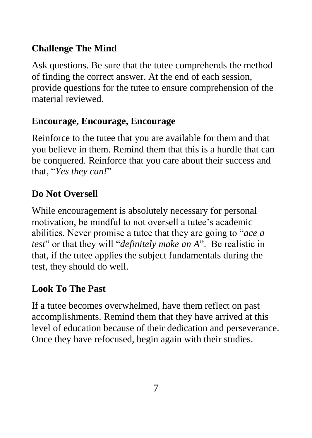#### **Challenge The Mind**

Ask questions. Be sure that the tutee comprehends the method of finding the correct answer. At the end of each session, provide questions for the tutee to ensure comprehension of the material reviewed.

#### **Encourage, Encourage, Encourage**

Reinforce to the tutee that you are available for them and that you believe in them. Remind them that this is a hurdle that can be conquered. Reinforce that you care about their success and that, "*Yes they can!*"

#### **Do Not Oversell**

While encouragement is absolutely necessary for personal motivation, be mindful to not oversell a tutee's academic abilities. Never promise a tutee that they are going to "*ace a test*" or that they will "*definitely make an A*". Be realistic in that, if the tutee applies the subject fundamentals during the test, they should do well.

#### **Look To The Past**

If a tutee becomes overwhelmed, have them reflect on past accomplishments. Remind them that they have arrived at this level of education because of their dedication and perseverance. Once they have refocused, begin again with their studies.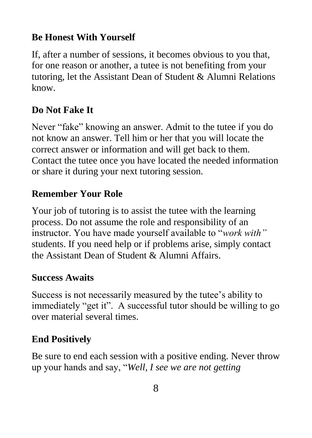#### **Be Honest With Yourself**

If, after a number of sessions, it becomes obvious to you that, for one reason or another, a tutee is not benefiting from your tutoring, let the Assistant Dean of Student & Alumni Relations know.

#### **Do Not Fake It**

Never "fake" knowing an answer. Admit to the tutee if you do not know an answer. Tell him or her that you will locate the correct answer or information and will get back to them. Contact the tutee once you have located the needed information or share it during your next tutoring session.

#### **Remember Your Role**

Your job of tutoring is to assist the tutee with the learning process. Do not assume the role and responsibility of an instructor. You have made yourself available to "*work with"* students. If you need help or if problems arise, simply contact the Assistant Dean of Student & Alumni Affairs.

#### **Success Awaits**

Success is not necessarily measured by the tutee's ability to immediately "get it". A successful tutor should be willing to go over material several times.

#### **End Positively**

Be sure to end each session with a positive ending. Never throw up your hands and say, "*Well, I see we are not getting*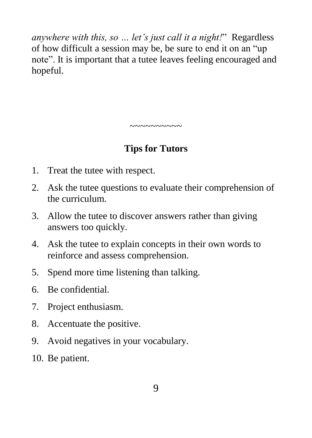*anywhere with this, so … let's just call it a night!*" Regardless of how difficult a session may be, be sure to end it on an "up note". It is important that a tutee leaves feeling encouraged and hopeful.

### **Tips for Tutors**

~~~~~~~~~~

- 1. Treat the tutee with respect.
- 2. Ask the tutee questions to evaluate their comprehension of the curriculum.
- 3. Allow the tutee to discover answers rather than giving answers too quickly.
- 4. Ask the tutee to explain concepts in their own words to reinforce and assess comprehension.
- 5. Spend more time listening than talking.
- 6. Be confidential.
- 7. Project enthusiasm.
- 8. Accentuate the positive.
- 9. Avoid negatives in your vocabulary.
- 10. Be patient.